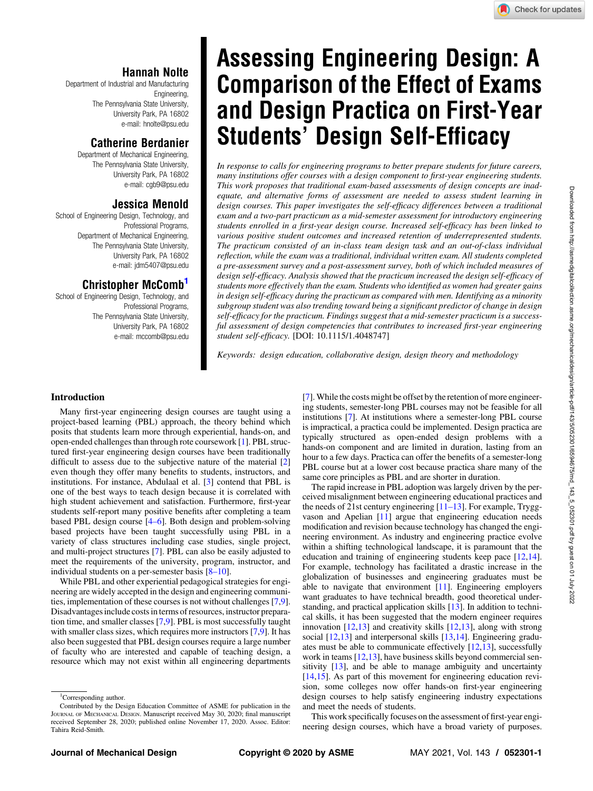# Hannah Nolte

Department of Industrial and Manufacturing Engineering, The Pennsylvania State University, University Park, PA 16802 e-mail: [hnolte@psu.edu](mailto:hnolte@psu.edu)

# Catherine Berdanier

Department of Mechanical Engineering, The Pennsylvania State University, University Park, PA 16802 e-mail: [cgb9@psu.edu](mailto:cgb9@psu.edu)

# Jessica Menold

School of Engineering Design, Technology, and Professional Programs, Department of Mechanical Engineering, The Pennsylvania State University, University Park, PA 16802 e-mail: [jdm5407@psu.edu](mailto:jdm5407@psu.edu)

# Christopher McComb<sup>1</sup>

School of Engineering Design, Technology, and Professional Programs, The Pennsylvania State University, University Park, PA 16802 e-mail: [mccomb@psu.edu](mailto:mccomb@psu.edu)

# Assessing Engineering Design: A Comparison of the Effect of Exams and Design Practica on First-Year Students' Design Self-Efficacy

In response to calls for engineering programs to better prepare students for future careers, many institutions offer courses with a design component to first-year engineering students. This work proposes that traditional exam-based assessments of design concepts are inadequate, and alternative forms of assessment are needed to assess student learning in design courses. This paper investigates the self-efficacy differences between a traditional exam and a two-part practicum as a mid-semester assessment for introductory engineering students enrolled in a first-year design course. Increased self-efficacy has been linked to various positive student outcomes and increased retention of underrepresented students. The practicum consisted of an in-class team design task and an out-of-class individual reflection, while the exam was a traditional, individual written exam. All students completed a pre-assessment survey and a post-assessment survey, both of which included measures of design self-efficacy. Analysis showed that the practicum increased the design self-efficacy of students more effectively than the exam. Students who identified as women had greater gains in design self-efficacy during the practicum as compared with men. Identifying as a minority subgroup student was also trending toward being a significant predictor of change in design self-efficacy for the practicum. Findings suggest that a mid-semester practicum is a successful assessment of design competencies that contributes to increased first-year engineering student self-efficacy. [DOI: 10.1115/1.4048747]

Keywords: design education, collaborative design, design theory and methodology

## Introduction

Many first-year engineering design courses are taught using a project-based learning (PBL) approach, the theory behind which posits that students learn more through experiential, hands-on, and open-ended challenges than through rote coursework [[1](#page-7-0)]. PBL structured first-year engineering design courses have been traditionally difficult to assess due to the subjective nature of the material [[2](#page-7-0)] even though they offer many benefits to students, instructors, and institutions. For instance, Abdulaal et al. [[3](#page-7-0)] contend that PBL is one of the best ways to teach design because it is correlated with high student achievement and satisfaction. Furthermore, first-year students self-report many positive benefits after completing a team based PBL design course [4–6]. Both design and problem-solving based projects have been taught successfully using PBL in a variety of class structures including case studies, single project, and multi-project structures [\[7\]](#page-7-0). PBL can also be easily adjusted to meet the requirements of the university, program, instructor, and individual students on a per-semester basis  $[8-10]$ .

While PBL and other experiential pedagogical strategies for engineering are widely accepted in the design and engineering communities, implementation of these courses is not without challenges [[7,9\]](#page-7-0). Disadvantages include costs in terms of resources, instructor preparation time, and smaller classes [\[7,9\]](#page-7-0). PBL is most successfully taught with smaller class sizes, which requires more instructors [[7,9\]](#page-7-0). It has also been suggested that PBL design courses require a large number of faculty who are interested and capable of teaching design, a resource which may not exist within all engineering departments

[[7](#page-7-0)]. While the costs might be offset by the retention of more engineering students, semester-long PBL courses may not be feasible for all institutions [\[7\]](#page-7-0). At institutions where a semester-long PBL course is impractical, a practica could be implemented. Design practica are typically structured as open-ended design problems with a hands-on component and are limited in duration, lasting from an hour to a few days. Practica can offer the benefits of a semester-long PBL course but at a lower cost because practica share many of the same core principles as PBL and are shorter in duration.

The rapid increase in PBL adoption was largely driven by the perceived misalignment between engineering educational practices and the needs of 21st century engineering  $[11–13]$ . For example, Tryggvason and Apelian [\[11](#page-7-0)] argue that engineering education needs modification and revision because technology has changed the engineering environment. As industry and engineering practice evolve within a shifting technological landscape, it is paramount that the education and training of engineering students keep pace [[12,14\]](#page-7-0). For example, technology has facilitated a drastic increase in the globalization of businesses and engineering graduates must be able to navigate that environment  $[11]$  $[11]$ . Engineering employers want graduates to have technical breadth, good theoretical understanding, and practical application skills [[13\]](#page-7-0). In addition to technical skills, it has been suggested that the modern engineer requires innovation [\[12,13](#page-7-0)] and creativity skills [\[12](#page-7-0),[13\]](#page-7-0), along with strong social [\[12](#page-7-0),[13\]](#page-7-0) and interpersonal skills [\[13,14](#page-7-0)]. Engineering graduates must be able to communicate effectively [[12](#page-7-0),[13\]](#page-7-0), successfully work in teams [[12](#page-7-0),[13\]](#page-7-0), have business skills beyond commercial sensitivity  $[13]$  $[13]$ , and be able to manage ambiguity and uncertainty [[14,15](#page-7-0)]. As part of this movement for engineering education revision, some colleges now offer hands-on first-year engineering design courses to help satisfy engineering industry expectations and meet the needs of students.

Downloaded from http://asmedigitalcollection.asme.org/mechanicaldesign/article-pdf/143/5/052301/6594675/md\_143\_5\_052301.pdf by guest on 01 July 2022

Downloaded from http://asmedigitalcollection.asme.org/mechanicaldesign/article-pdf/143/5/052301/8594675/md\_143\_5\_052301.pdf by guest on 01 July 2022

This work specifically focuses on the assessment of first-year engineering design courses, which have a broad variety of purposes.

<sup>&</sup>lt;sup>1</sup>Corresponding author.

Contributed by the Design Education Committee of ASME for publication in the JOURNAL OF MECHANICAL DESIGN. Manuscript received May 30, 2020; final manuscript received September 28, 2020; published online November 17, 2020. Assoc. Editor: Tahira Reid-Smith.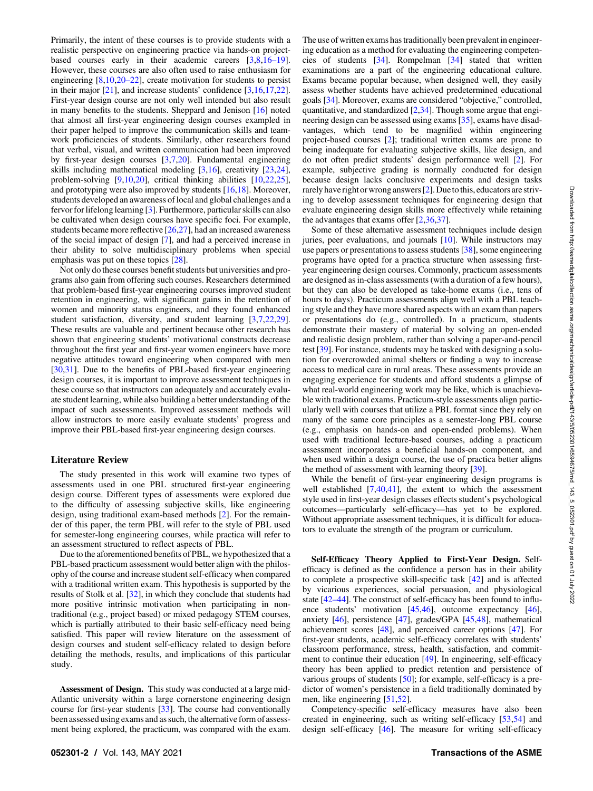Primarily, the intent of these courses is to provide students with a realistic perspective on engineering practice via hands-on projectbased courses early in their academic careers [[3](#page-7-0),[8](#page-7-0),16–19]. However, these courses are also often used to raise enthusiasm for engineering [[8](#page-7-0),[10,](#page-7-0)20–22], create motivation for students to persist in their major [\[21](#page-7-0)], and increase students' confidence [[3,16](#page-7-0),[17,22\]](#page-7-0). First-year design course are not only well intended but also result in many benefits to the students. Sheppard and Jenison [\[16](#page-7-0)] noted that almost all first-year engineering design courses exampled in their paper helped to improve the communication skills and teamwork proficiencies of students. Similarly, other researchers found that verbal, visual, and written communication had been improved by first-year design courses [[3](#page-7-0),[7,20](#page-7-0)]. Fundamental engineering skills including mathematical modeling [[3,16](#page-7-0)], creativity [[23,24\]](#page-8-0), problem-solving [[9,10](#page-7-0),[20\]](#page-7-0), critical thinking abilities [\[10](#page-7-0),[22,](#page-7-0)[25\]](#page-8-0), and prototyping were also improved by students [\[16,18\]](#page-7-0). Moreover, students developed an awareness of local and global challenges and a fervor for lifelong learning [\[3\]](#page-7-0). Furthermore, particular skills can also be cultivated when design courses have specific foci. For example, students became more reflective [[26,27](#page-8-0)], had an increased awareness of the social impact of design [\[7\]](#page-7-0), and had a perceived increase in their ability to solve multidisciplinary problems when special emphasis was put on these topics [\[28](#page-8-0)].

Not only do these courses benefit students but universities and programs also gain from offering such courses. Researchers determined that problem-based first-year engineering courses improved student retention in engineering, with significant gains in the retention of women and minority status engineers, and they found enhanced student satisfaction, diversity, and student learning [\[3,7](#page-7-0),[22,](#page-7-0)[29\]](#page-8-0). These results are valuable and pertinent because other research has shown that engineering students' motivational constructs decrease throughout the first year and first-year women engineers have more negative attitudes toward engineering when compared with men [[30,31](#page-8-0)]. Due to the benefits of PBL-based first-year engineering design courses, it is important to improve assessment techniques in these course so that instructors can adequately and accurately evaluate student learning, while also building a better understanding of the impact of such assessments. Improved assessment methods will allow instructors to more easily evaluate students' progress and improve their PBL-based first-year engineering design courses.

#### Literature Review

The study presented in this work will examine two types of assessments used in one PBL structured first-year engineering design course. Different types of assessments were explored due to the difficulty of assessing subjective skills, like engineering design, using traditional exam-based methods [\[2\]](#page-7-0). For the remainder of this paper, the term PBL will refer to the style of PBL used for semester-long engineering courses, while practica will refer to an assessment structured to reflect aspects of PBL.

Due to the aforementioned benefits of PBL, we hypothesized that a PBL-based practicum assessment would better align with the philosophy of the course and increase student self-efficacy when compared with a traditional written exam. This hypothesis is supported by the results of Stolk et al. [\[32](#page-8-0)], in which they conclude that students had more positive intrinsic motivation when participating in nontraditional (e.g., project based) or mixed pedagogy STEM courses, which is partially attributed to their basic self-efficacy need being satisfied. This paper will review literature on the assessment of design courses and student self-efficacy related to design before detailing the methods, results, and implications of this particular study.

Assessment of Design. This study was conducted at a large mid-Atlantic university within a large cornerstone engineering design course for first-year students [\[33](#page-8-0)]. The course had conventionally been assessed using exams and as such, the alternative form of assessment being explored, the practicum, was compared with the exam. The use of written exams has traditionally been prevalent in engineering education as a method for evaluating the engineering competencies of students [[34\]](#page-8-0). Rompelman [\[34](#page-8-0)] stated that written examinations are a part of the engineering educational culture. Exams became popular because, when designed well, they easily assess whether students have achieved predetermined educational goals [[34\]](#page-8-0). Moreover, exams are considered "objective," controlled, quantitative, and standardized  $[2,34]$  $[2,34]$  $[2,34]$ . Though some argue that engineering design can be assessed using exams [[35\]](#page-8-0), exams have disadvantages, which tend to be magnified within engineering project-based courses [\[2\]](#page-7-0); traditional written exams are prone to being inadequate for evaluating subjective skills, like design, and do not often predict students' design performance well [[2](#page-7-0)]. For example, subjective grading is normally conducted for design because design lacks conclusive experiments and design tasks rarely have right or wrong answers [[2](#page-7-0)]. Due to this, educators are striving to develop assessment techniques for engineering design that evaluate engineering design skills more effectively while retaining the advantages that exams offer [\[2](#page-7-0)[,36,37](#page-8-0)].

Some of these alternative assessment techniques include design juries, peer evaluations, and journals [\[10](#page-7-0)]. While instructors may use papers or presentations to assess students [[38\]](#page-8-0), some engineering programs have opted for a practica structure when assessing firstyear engineering design courses. Commonly, practicum assessments are designed as in-class assessments (with a duration of a few hours), but they can also be developed as take-home exams (i.e., tens of hours to days). Practicum assessments align well with a PBL teaching style and they have more shared aspects with an exam than papers or presentations do (e.g., controlled). In a practicum, students demonstrate their mastery of material by solving an open-ended and realistic design problem, rather than solving a paper-and-pencil test [[39\]](#page-8-0). For instance, students may be tasked with designing a solution for overcrowded animal shelters or finding a way to increase access to medical care in rural areas. These assessments provide an engaging experience for students and afford students a glimpse of what real-world engineering work may be like, which is unachievable with traditional exams. Practicum-style assessments align particularly well with courses that utilize a PBL format since they rely on many of the same core principles as a semester-long PBL course (e.g., emphasis on hands-on and open-ended problems). When used with traditional lecture-based courses, adding a practicum assessment incorporates a beneficial hands-on component, and when used within a design course, the use of practica better aligns the method of assessment with learning theory [[39\]](#page-8-0).

While the benefit of first-year engineering design programs is well established [\[7,](#page-7-0)[40,41](#page-8-0)], the extent to which the assessment style used in first-year design classes effects student's psychological outcomes—particularly self-efficacy—has yet to be explored. Without appropriate assessment techniques, it is difficult for educators to evaluate the strength of the program or curriculum.

Self-Efficacy Theory Applied to First-Year Design. Selfefficacy is defined as the confidence a person has in their ability to complete a prospective skill-specific task [[42\]](#page-8-0) and is affected by vicarious experiences, social persuasion, and physiological state [42–44]. The construct of self-efficacy has been found to influ-ence students' motivation [\[45,46](#page-8-0)], outcome expectancy [[46\]](#page-8-0), anxiety [[46\]](#page-8-0), persistence [[47\]](#page-8-0), grades/GPA [\[45](#page-8-0),[48\]](#page-8-0), mathematical achievement scores [[48\]](#page-8-0), and perceived career options [[47\]](#page-8-0). For first-year students, academic self-efficacy correlates with students' classroom performance, stress, health, satisfaction, and commitment to continue their education [\[49](#page-8-0)]. In engineering, self-efficacy theory has been applied to predict retention and persistence of various groups of students [\[50](#page-8-0)]; for example, self-efficacy is a predictor of women's persistence in a field traditionally dominated by men, like engineering [[51,52](#page-8-0)].

Competency-specific self-efficacy measures have also been created in engineering, such as writing self-efficacy [\[53,54](#page-8-0)] and design self-efficacy [\[46](#page-8-0)]. The measure for writing self-efficacy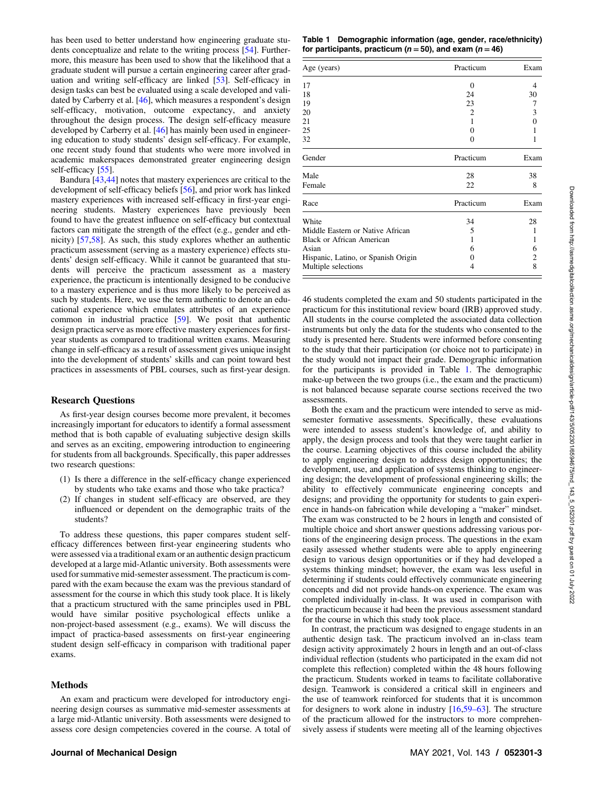<span id="page-2-0"></span>has been used to better understand how engineering graduate students conceptualize and relate to the writing process [\[54](#page-8-0)]. Furthermore, this measure has been used to show that the likelihood that a graduate student will pursue a certain engineering career after graduation and writing self-efficacy are linked [\[53](#page-8-0)]. Self-efficacy in design tasks can best be evaluated using a scale developed and validated by Carberry et al. [\[46](#page-8-0)], which measures a respondent's design self-efficacy, motivation, outcome expectancy, and anxiety throughout the design process. The design self-efficacy measure developed by Carberry et al. [\[46](#page-8-0)] has mainly been used in engineering education to study students' design self-efficacy. For example, one recent study found that students who were more involved in academic makerspaces demonstrated greater engineering design self-efficacy [\[55](#page-8-0)].

Bandura [\[43](#page-8-0),[44\]](#page-8-0) notes that mastery experiences are critical to the development of self-efficacy beliefs [\[56](#page-8-0)], and prior work has linked mastery experiences with increased self-efficacy in first-year engineering students. Mastery experiences have previously been found to have the greatest influence on self-efficacy but contextual factors can mitigate the strength of the effect (e.g., gender and ethnicity) [\[57,58](#page-8-0)]. As such, this study explores whether an authentic practicum assessment (serving as a mastery experience) effects students' design self-efficacy. While it cannot be guaranteed that students will perceive the practicum assessment as a mastery experience, the practicum is intentionally designed to be conducive to a mastery experience and is thus more likely to be perceived as such by students. Here, we use the term authentic to denote an educational experience which emulates attributes of an experience common in industrial practice [\[59](#page-8-0)]. We posit that authentic design practica serve as more effective mastery experiences for firstyear students as compared to traditional written exams. Measuring change in self-efficacy as a result of assessment gives unique insight into the development of students' skills and can point toward best practices in assessments of PBL courses, such as first-year design.

#### Research Questions

As first-year design courses become more prevalent, it becomes increasingly important for educators to identify a formal assessment method that is both capable of evaluating subjective design skills and serves as an exciting, empowering introduction to engineering for students from all backgrounds. Specifically, this paper addresses two research questions:

- (1) Is there a difference in the self-efficacy change experienced by students who take exams and those who take practica?
- (2) If changes in student self-efficacy are observed, are they influenced or dependent on the demographic traits of the students?

To address these questions, this paper compares student selfefficacy differences between first-year engineering students who were assessed via a traditional exam or an authentic design practicum developed at a large mid-Atlantic university. Both assessments were used for summative mid-semester assessment. The practicum is compared with the exam because the exam was the previous standard of assessment for the course in which this study took place. It is likely that a practicum structured with the same principles used in PBL would have similar positive psychological effects unlike a non-project-based assessment (e.g., exams). We will discuss the impact of practica-based assessments on first-year engineering student design self-efficacy in comparison with traditional paper exams.

## **Methods**

An exam and practicum were developed for introductory engineering design courses as summative mid-semester assessments at a large mid-Atlantic university. Both assessments were designed to assess core design competencies covered in the course. A total of

Table 1 Demographic information (age, gender, race/ethnicity) for participants, practicum ( $n = 50$ ), and exam ( $n = 46$ )

| Age (years)                         | Practicum         | Exam |
|-------------------------------------|-------------------|------|
| 17                                  | $\Omega$          | 4    |
| 18                                  | 24                | 30   |
| 19                                  | 23                | 7    |
| 20                                  | $\overline{2}$    | 3    |
| 21                                  | 1                 | 0    |
| 25                                  | 0                 |      |
| 32                                  | 0                 | 1    |
| Gender                              | Practicum         | Exam |
| Male                                | 28                | 38   |
| Female                              | 22                | 8    |
| Race                                | Practicum         | Exam |
| White                               | 34                | 28   |
| Middle Eastern or Native African    | 5                 | 1    |
| <b>Black or African American</b>    | 1                 | 1    |
| Asian                               | 6                 | 6    |
| Hispanic, Latino, or Spanish Origin | $\mathbf{\Omega}$ | 2    |
| Multiple selections                 | 4                 | 8    |

46 students completed the exam and 50 students participated in the practicum for this institutional review board (IRB) approved study. All students in the course completed the associated data collection instruments but only the data for the students who consented to the study is presented here. Students were informed before consenting to the study that their participation (or choice not to participate) in the study would not impact their grade. Demographic information for the participants is provided in Table 1. The demographic make-up between the two groups (i.e., the exam and the practicum) is not balanced because separate course sections received the two assessments.

Both the exam and the practicum were intended to serve as midsemester formative assessments. Specifically, these evaluations were intended to assess student's knowledge of, and ability to apply, the design process and tools that they were taught earlier in the course. Learning objectives of this course included the ability to apply engineering design to address design opportunities; the development, use, and application of systems thinking to engineering design; the development of professional engineering skills; the ability to effectively communicate engineering concepts and designs; and providing the opportunity for students to gain experience in hands-on fabrication while developing a "maker" mindset. The exam was constructed to be 2 hours in length and consisted of multiple choice and short answer questions addressing various portions of the engineering design process. The questions in the exam easily assessed whether students were able to apply engineering design to various design opportunities or if they had developed a systems thinking mindset; however, the exam was less useful in determining if students could effectively communicate engineering concepts and did not provide hands-on experience. The exam was completed individually in-class. It was used in comparison with the practicum because it had been the previous assessment standard for the course in which this study took place.

In contrast, the practicum was designed to engage students in an authentic design task. The practicum involved an in-class team design activity approximately 2 hours in length and an out-of-class individual reflection (students who participated in the exam did not complete this reflection) completed within the 48 hours following the practicum. Students worked in teams to facilitate collaborative design. Teamwork is considered a critical skill in engineers and the use of teamwork reinforced for students that it is uncommon for designers to work alone in industry [[16,](#page-7-0)59–63]. The structure of the practicum allowed for the instructors to more comprehensively assess if students were meeting all of the learning objectives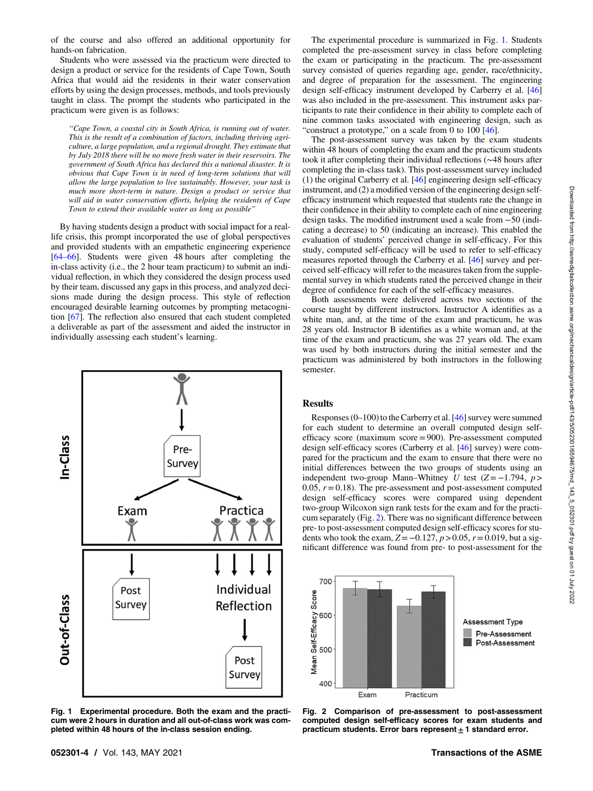<span id="page-3-0"></span>of the course and also offered an additional opportunity for hands-on fabrication.

Students who were assessed via the practicum were directed to design a product or service for the residents of Cape Town, South Africa that would aid the residents in their water conservation efforts by using the design processes, methods, and tools previously taught in class. The prompt the students who participated in the practicum were given is as follows:

"Cape Town, a coastal city in South Africa, is running out of water. This is the result of a combination of factors, including thriving agriculture, a large population, and a regional drought. They estimate that by July 2018 there will be no more fresh water in their reservoirs. The government of South Africa has declared this a national disaster. It is obvious that Cape Town is in need of long-term solutions that will allow the large population to live sustainably. However, your task is much more short-term in nature. Design a product or service that will aid in water conservation efforts, helping the residents of Cape Town to extend their available water as long as possible"

By having students design a product with social impact for a reallife crisis, this prompt incorporated the use of global perspectives and provided students with an empathetic engineering experience [64–66]. Students were given 48 hours after completing the in-class activity (i.e., the 2 hour team practicum) to submit an individual reflection, in which they considered the design process used by their team, discussed any gaps in this process, and analyzed decisions made during the design process. This style of reflection encouraged desirable learning outcomes by prompting metacognition [[67\]](#page-8-0). The reflection also ensured that each student completed a deliverable as part of the assessment and aided the instructor in individually assessing each student's learning.



Fig. 1 Experimental procedure. Both the exam and the practicum were 2 hours in duration and all out-of-class work was completed within 48 hours of the in-class session ending.

The experimental procedure is summarized in Fig. 1. Students completed the pre-assessment survey in class before completing the exam or participating in the practicum. The pre-assessment survey consisted of queries regarding age, gender, race/ethnicity, and degree of preparation for the assessment. The engineering design self-efficacy instrument developed by Carberry et al. [\[46](#page-8-0)] was also included in the pre-assessment. This instrument asks participants to rate their confidence in their ability to complete each of nine common tasks associated with engineering design, such as "construct a prototype," on a scale from 0 to 100  $[46]$  $[46]$ .

The post-assessment survey was taken by the exam students within 48 hours of completing the exam and the practicum students took it after completing their individual reflections (∼48 hours after completing the in-class task). This post-assessment survey included (1) the original Carberry et al. [\[46](#page-8-0)] engineering design self-efficacy instrument, and (2) a modified version of the engineering design selfefficacy instrument which requested that students rate the change in their confidence in their ability to complete each of nine engineering design tasks. The modified instrument used a scale from −50 (indicating a decrease) to 50 (indicating an increase). This enabled the evaluation of students' perceived change in self-efficacy. For this study, computed self-efficacy will be used to refer to self-efficacy measures reported through the Carberry et al. [\[46](#page-8-0)] survey and perceived self-efficacy will refer to the measures taken from the supplemental survey in which students rated the perceived change in their degree of confidence for each of the self-efficacy measures.

Both assessments were delivered across two sections of the course taught by different instructors. Instructor A identifies as a white man, and, at the time of the exam and practicum, he was 28 years old. Instructor B identifies as a white woman and, at the time of the exam and practicum, she was 27 years old. The exam was used by both instructors during the initial semester and the practicum was administered by both instructors in the following semester.

#### Results

Responses (0–100) to the Carberry et al. [\[46](#page-8-0)] survey were summed for each student to determine an overall computed design selfefficacy score (maximum score=900). Pre-assessment computed design self-efficacy scores (Carberry et al. [[46\]](#page-8-0) survey) were compared for the practicum and the exam to ensure that there were no initial differences between the two groups of students using an independent two-group Mann–Whitney U test  $(Z=-1.794, p>$ 0.05,  $r = 0.18$ ). The pre-assessment and post-assessment computed design self-efficacy scores were compared using dependent two-group Wilcoxon sign rank tests for the exam and for the practicum separately (Fig. 2). There was no significant difference between pre- to post-assessment computed design self-efficacy scores for students who took the exam,  $Z = -0.127$ ,  $p > 0.05$ ,  $r = 0.019$ , but a significant difference was found from pre- to post-assessment for the



Fig. 2 Comparison of pre-assessment to post-assessment computed design self-efficacy scores for exam students and practicum students. Error bars represent  $\pm$  1 standard error.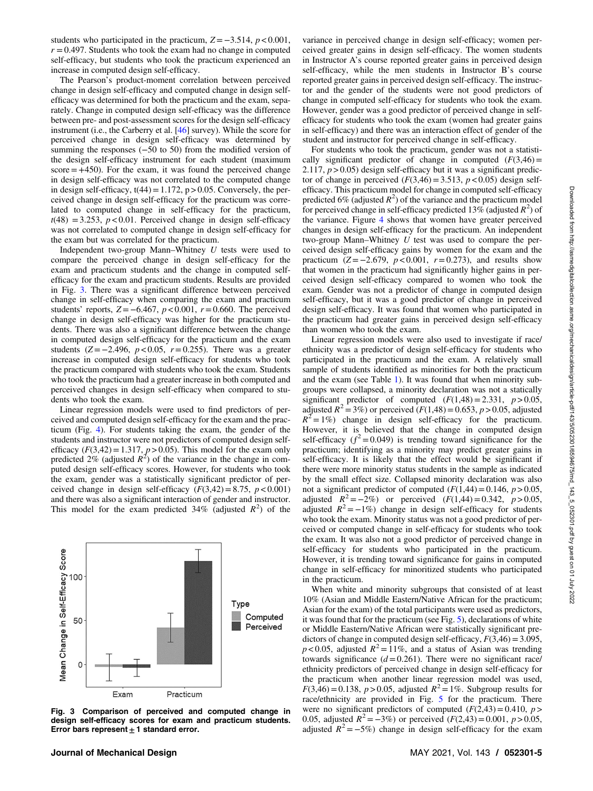<span id="page-4-0"></span>students who participated in the practicum,  $Z = -3.514$ ,  $p < 0.001$ ,  $r = 0.497$ . Students who took the exam had no change in computed self-efficacy, but students who took the practicum experienced an increase in computed design self-efficacy.

The Pearson's product-moment correlation between perceived change in design self-efficacy and computed change in design selfefficacy was determined for both the practicum and the exam, separately. Change in computed design self-efficacy was the difference between pre- and post-assessment scores for the design self-efficacy instrument (i.e., the Carberry et al. [\[46\]](#page-8-0) survey). While the score for perceived change in design self-efficacy was determined by summing the responses (−50 to 50) from the modified version of the design self-efficacy instrument for each student (maximum  $score = +450$ . For the exam, it was found the perceived change in design self-efficacy was not correlated to the computed change in design self-efficacy,  $t(44) = 1.172$ ,  $p > 0.05$ . Conversely, the perceived change in design self-efficacy for the practicum was correlated to computed change in self-efficacy for the practicum,  $t(48) = 3.253$ ,  $p < 0.01$ . Perceived change in design self-efficacy was not correlated to computed change in design self-efficacy for the exam but was correlated for the practicum.

Independent two-group Mann–Whitney U tests were used to compare the perceived change in design self-efficacy for the exam and practicum students and the change in computed selfefficacy for the exam and practicum students. Results are provided in Fig. 3. There was a significant difference between perceived change in self-efficacy when comparing the exam and practicum students' reports,  $Z = -6.467$ ,  $p < 0.001$ ,  $r = 0.660$ . The perceived change in design self-efficacy was higher for the practicum students. There was also a significant difference between the change in computed design self-efficacy for the practicum and the exam students ( $Z = -2.496$ ,  $p < 0.05$ ,  $r = 0.255$ ). There was a greater increase in computed design self-efficacy for students who took the practicum compared with students who took the exam. Students who took the practicum had a greater increase in both computed and perceived changes in design self-efficacy when compared to students who took the exam.

Linear regression models were used to find predictors of perceived and computed design self-efficacy for the exam and the practicum (Fig. [4\)](#page-5-0). For students taking the exam, the gender of the students and instructor were not predictors of computed design selfefficacy  $(F(3,42) = 1.317, p > 0.05)$ . This model for the exam only predicted 2% (adjusted  $R^2$ ) of the variance in the change in computed design self-efficacy scores. However, for students who took the exam, gender was a statistically significant predictor of perceived change in design self-efficacy  $(F(3,42)=8.75, p < 0.001)$ and there was also a significant interaction of gender and instructor. This model for the exam predicted 34% (adjusted  $R^2$ ) of the



Fig. 3 Comparison of perceived and computed change in design self-efficacy scores for exam and practicum students. Error bars represent  $\pm$  1 standard error.

variance in perceived change in design self-efficacy; women perceived greater gains in design self-efficacy. The women students in Instructor A's course reported greater gains in perceived design self-efficacy, while the men students in Instructor B's course reported greater gains in perceived design self-efficacy. The instructor and the gender of the students were not good predictors of change in computed self-efficacy for students who took the exam. However, gender was a good predictor of perceived change in selfefficacy for students who took the exam (women had greater gains in self-efficacy) and there was an interaction effect of gender of the student and instructor for perceived change in self-efficacy.

For students who took the practicum, gender was not a statistically significant predictor of change in computed  $(F(3,46) =$ 2.117,  $p > 0.05$ ) design self-efficacy but it was a significant predictor of change in perceived  $(F(3,46) = 3.513, p < 0.05)$  design selfefficacy. This practicum model for change in computed self-efficacy predicted 6% (adjusted  $R^2$ ) of the variance and the practicum model for perceived change in self-efficacy predicted 13% (adjusted  $R^2$ ) of the variance. Figure [4](#page-5-0) shows that women have greater perceived changes in design self-efficacy for the practicum. An independent two-group Mann–Whitney  $U$  test was used to compare the perceived design self-efficacy gains by women for the exam and the practicum (Z=−2.679,  $p < 0.001$ ,  $r = 0.273$ ), and results show that women in the practicum had significantly higher gains in perceived design self-efficacy compared to women who took the exam. Gender was not a predictor of change in computed design self-efficacy, but it was a good predictor of change in perceived design self-efficacy. It was found that women who participated in the practicum had greater gains in perceived design self-efficacy than women who took the exam.

Linear regression models were also used to investigate if race/ ethnicity was a predictor of design self-efficacy for students who participated in the practicum and the exam. A relatively small sample of students identified as minorities for both the practicum and the exam (see Table [1](#page-2-0)). It was found that when minority subgroups were collapsed, a minority declaration was not a statically significant predictor of computed  $(F(1,48) = 2.331, p > 0.05,$ adjusted  $R^2 = 3\%$ ) or perceived ( $F(1,48) = 0.653$ ,  $p > 0.05$ , adjusted  $R^2 = 1\%$ ) change in design self-efficacy for the practicum. However, it is believed that the change in computed design self-efficacy ( $f^2$ =0.049) is trending toward significance for the practicum; identifying as a minority may predict greater gains in self-efficacy. It is likely that the effect would be significant if there were more minority status students in the sample as indicated by the small effect size. Collapsed minority declaration was also not a significant predictor of computed  $(F(1,44)=0.146, p > 0.05,$ adjusted  $R^2 = -2\%$ ) or perceived  $(F(1,44) = 0.342, p > 0.05,$ adjusted  $R^2 = -1\%$ ) change in design self-efficacy for students who took the exam. Minority status was not a good predictor of perceived or computed change in self-efficacy for students who took the exam. It was also not a good predictor of perceived change in self-efficacy for students who participated in the practicum. However, it is trending toward significance for gains in computed change in self-efficacy for minoritized students who participated in the practicum.

When white and minority subgroups that consisted of at least 10% (Asian and Middle Eastern/Native African for the practicum; Asian for the exam) of the total participants were used as predictors, it was found that for the practicum (see Fig. [5](#page-5-0)), declarations of white or Middle Eastern/Native African were statistically significant predictors of change in computed design self-efficacy,  $F(3,46) = 3.095$ ,  $p < 0.05$ , adjusted  $R^2 = 11\%$ , and a status of Asian was trending towards significance  $(d=0.261)$ . There were no significant race/ ethnicity predictors of perceived change in design self-efficacy for the practicum when another linear regression model was used,  $F(3,46) = 0.138$ ,  $p > 0.05$ , adjusted  $R^2 = 1\%$ . Subgroup results for race/ethnicity are provided in Fig. [5](#page-5-0) for the practicum. There were no significant predictors of computed  $(F(2,43) = 0.410, p >$ 0.05, adjusted  $R^2 = -3\%$ ) or perceived ( $F(2,43) = 0.001$ ,  $p > 0.05$ , adjusted  $R^2 = -5\%$ ) change in design self-efficacy for the exam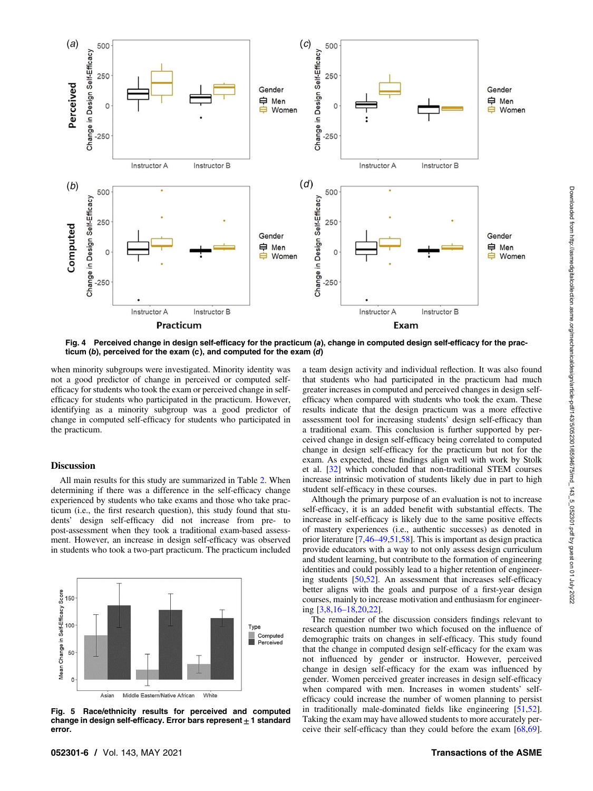<span id="page-5-0"></span>

Fig. 4 Perceived change in design self-efficacy for the practicum (a), change in computed design self-efficacy for the practicum (b), perceived for the exam (c), and computed for the exam (d)

when minority subgroups were investigated. Minority identity was not a good predictor of change in perceived or computed selfefficacy for students who took the exam or perceived change in selfefficacy for students who participated in the practicum. However, identifying as a minority subgroup was a good predictor of change in computed self-efficacy for students who participated in the practicum.

#### **Discussion**

All main results for this study are summarized in Table [2.](#page-6-0) When determining if there was a difference in the self-efficacy change experienced by students who take exams and those who take practicum (i.e., the first research question), this study found that students' design self-efficacy did not increase from pre- to post-assessment when they took a traditional exam-based assessment. However, an increase in design self-efficacy was observed in students who took a two-part practicum. The practicum included



Fig. 5 Race/ethnicity results for perceived and computed change in design self-efficacy. Error bars represent  $\pm$  1 standard error.

a team design activity and individual reflection. It was also found that students who had participated in the practicum had much greater increases in computed and perceived changes in design selfefficacy when compared with students who took the exam. These results indicate that the design practicum was a more effective assessment tool for increasing students' design self-efficacy than a traditional exam. This conclusion is further supported by perceived change in design self-efficacy being correlated to computed change in design self-efficacy for the practicum but not for the exam. As expected, these findings align well with work by Stolk et al. [[32\]](#page-8-0) which concluded that non-traditional STEM courses increase intrinsic motivation of students likely due in part to high student self-efficacy in these courses.

Although the primary purpose of an evaluation is not to increase self-efficacy, it is an added benefit with substantial effects. The increase in self-efficacy is likely due to the same positive effects of mastery experiences (i.e., authentic successes) as denoted in prior literature [[7,](#page-7-0)46–49,[51](#page-8-0),[58\]](#page-8-0). This is important as design practica provide educators with a way to not only assess design curriculum and student learning, but contribute to the formation of engineering identities and could possibly lead to a higher retention of engineering students [\[50](#page-8-0),[52\]](#page-8-0). An assessment that increases self-efficacy better aligns with the goals and purpose of a first-year design courses, mainly to increase motivation and enthusiasm for engineering [\[3,8](#page-7-0),16–18[,20,22](#page-7-0)].

The remainder of the discussion considers findings relevant to research question number two which focused on the influence of demographic traits on changes in self-efficacy. This study found that the change in computed design self-efficacy for the exam was not influenced by gender or instructor. However, perceived change in design self-efficacy for the exam was influenced by gender. Women perceived greater increases in design self-efficacy when compared with men. Increases in women students' selfefficacy could increase the number of women planning to persist in traditionally male-dominated fields like engineering [[51,52\]](#page-8-0). Taking the exam may have allowed students to more accurately perceive their self-efficacy than they could before the exam [[68,69\]](#page-8-0).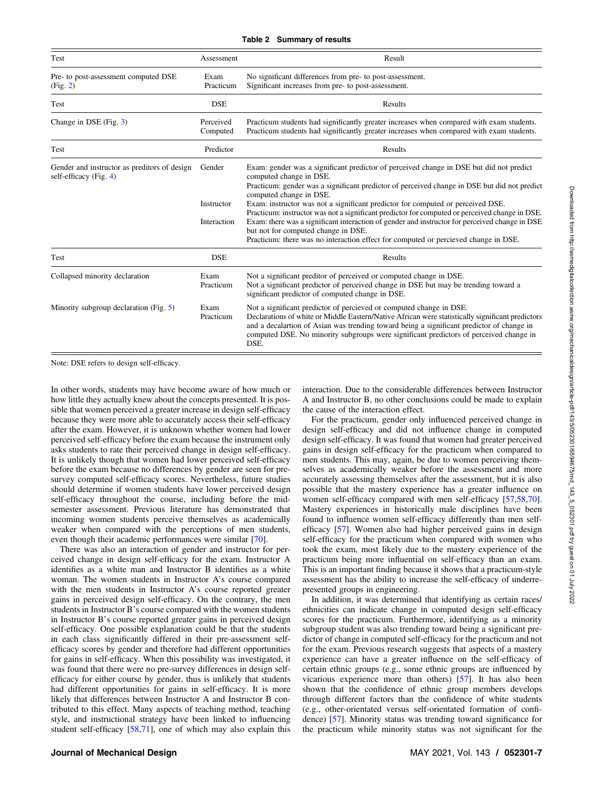<span id="page-6-0"></span>

| Test                                                                      | Assessment                          | Result                                                                                                                                                                                                                                                                                                                                                                                                                                                                                                                                                                      |
|---------------------------------------------------------------------------|-------------------------------------|-----------------------------------------------------------------------------------------------------------------------------------------------------------------------------------------------------------------------------------------------------------------------------------------------------------------------------------------------------------------------------------------------------------------------------------------------------------------------------------------------------------------------------------------------------------------------------|
| Pre- to post-assessment computed DSE<br>(Fig. 2)                          | Exam<br>Practicum                   | No significant differences from pre- to post-assessment.<br>Significant increases from pre- to post-assessment.                                                                                                                                                                                                                                                                                                                                                                                                                                                             |
| Test                                                                      | <b>DSE</b>                          | Results                                                                                                                                                                                                                                                                                                                                                                                                                                                                                                                                                                     |
| Change in DSE (Fig. 3)                                                    | Perceived<br>Computed               | Practicum students had significantly greater increases when compared with exam students.<br>Practicum students had significantly greater increases when compared with exam students.                                                                                                                                                                                                                                                                                                                                                                                        |
| Test                                                                      | Predictor                           | Results                                                                                                                                                                                                                                                                                                                                                                                                                                                                                                                                                                     |
| Gender and instructor as preditors of design<br>self-efficacy (Fig. $4$ ) | Gender<br>Instructor<br>Interaction | Exam: gender was a significant predictor of perceived change in DSE but did not predict<br>computed change in DSE.<br>Practicum: gender was a significant predictor of perceived change in DSE but did not predict<br>computed change in DSE.<br>Exam: instructor was not a significant predictor for computed or perceived DSE.<br>Practicum: instructor was not a significant predictor for computed or perceived change in DSE.<br>Exam: there was a significant interaction of gender and instructor for perceived change in DSE<br>but not for computed change in DSE. |
|                                                                           |                                     | Practicum: there was no interaction effect for computed or percieved change in DSE.                                                                                                                                                                                                                                                                                                                                                                                                                                                                                         |
| Test                                                                      | <b>DSE</b>                          | Results                                                                                                                                                                                                                                                                                                                                                                                                                                                                                                                                                                     |
| Collapsed minority declaration                                            | Exam<br>Practicum                   | Not a significant preditor of perceived or computed change in DSE.<br>Not a significant predictor of perceived change in DSE but may be trending toward a<br>significant predictor of computed change in DSE.                                                                                                                                                                                                                                                                                                                                                               |
| Minority subgroup declaration (Fig. 5)                                    | Exam<br>Practicum                   | Not a significant predictor of percieved or computed change in DSE.<br>Declarations of white or Middle Eastern/Native African were statistically significant predictors<br>and a decalartion of Asian was trending toward being a significant predictor of change in<br>computed DSE. No minority subgroups were significant predictors of perceived change in<br>DSE.                                                                                                                                                                                                      |

Note: DSE refers to design self-efficacy.

In other words, students may have become aware of how much or how little they actually knew about the concepts presented. It is possible that women perceived a greater increase in design self-efficacy because they were more able to accurately access their self-efficacy after the exam. However, it is unknown whether women had lower perceived self-efficacy before the exam because the instrument only asks students to rate their perceived change in design self-efficacy. It is unlikely though that women had lower perceived self-efficacy before the exam because no differences by gender are seen for presurvey computed self-efficacy scores. Nevertheless, future studies should determine if women students have lower perceived design self-efficacy throughout the course, including before the midsemester assessment. Previous literature has demonstrated that incoming women students perceive themselves as academically weaker when compared with the perceptions of men students, even though their academic performances were similar [\[70](#page-8-0)].

There was also an interaction of gender and instructor for perceived change in design self-efficacy for the exam. Instructor A identifies as a white man and Instructor B identifies as a white woman. The women students in Instructor A's course compared with the men students in Instructor A's course reported greater gains in perceived design self-efficacy. On the contrary, the men students in Instructor B's course compared with the women students in Instructor B's course reported greater gains in perceived design self-efficacy. One possible explanation could be that the students in each class significantly differed in their pre-assessment selfefficacy scores by gender and therefore had different opportunities for gains in self-efficacy. When this possibility was investigated, it was found that there were no pre-survey differences in design selfefficacy for either course by gender, thus is unlikely that students had different opportunities for gains in self-efficacy. It is more likely that differences between Instructor A and Instructor B contributed to this effect. Many aspects of teaching method, teaching style, and instructional strategy have been linked to influencing student self-efficacy [\[58](#page-8-0),[71\]](#page-8-0), one of which may also explain this

interaction. Due to the considerable differences between Instructor A and Instructor B, no other conclusions could be made to explain the cause of the interaction effect.

For the practicum, gender only influenced perceived change in design self-efficacy and did not influence change in computed design self-efficacy. It was found that women had greater perceived gains in design self-efficacy for the practicum when compared to men students. This may, again, be due to women perceiving themselves as academically weaker before the assessment and more accurately assessing themselves after the assessment, but it is also possible that the mastery experience has a greater influence on women self-efficacy compared with men self-efficacy [\[57](#page-8-0),[58,70\]](#page-8-0). Mastery experiences in historically male disciplines have been found to influence women self-efficacy differently than men selfefficacy [[57\]](#page-8-0). Women also had higher perceived gains in design self-efficacy for the practicum when compared with women who took the exam, most likely due to the mastery experience of the practicum being more influential on self-efficacy than an exam. This is an important finding because it shows that a practicum-style assessment has the ability to increase the self-efficacy of underrepresented groups in engineering.

In addition, it was determined that identifying as certain races/ ethnicities can indicate change in computed design self-efficacy scores for the practicum. Furthermore, identifying as a minority subgroup student was also trending toward being a significant predictor of change in computed self-efficacy for the practicum and not for the exam. Previous research suggests that aspects of a mastery experience can have a greater influence on the self-efficacy of certain ethnic groups (e.g., some ethnic groups are influenced by vicarious experience more than others) [\[57](#page-8-0)]. It has also been shown that the confidence of ethnic group members develops through different factors than the confidence of white students (e.g., other-orientated versus self-orientated formation of confidence) [[57\]](#page-8-0). Minority status was trending toward significance for the practicum while minority status was not significant for the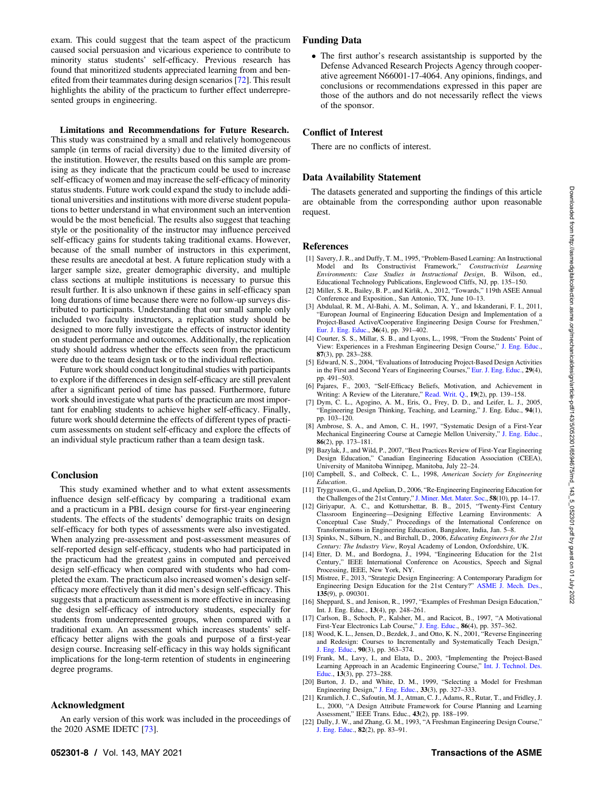<span id="page-7-0"></span>exam. This could suggest that the team aspect of the practicum caused social persuasion and vicarious experience to contribute to minority status students' self-efficacy. Previous research has found that minoritized students appreciated learning from and benefited from their teammates during design scenarios [[72\]](#page-8-0). This result highlights the ability of the practicum to further effect underrepresented groups in engineering.

Limitations and Recommendations for Future Research. This study was constrained by a small and relatively homogeneous sample (in terms of racial diversity) due to the limited diversity of the institution. However, the results based on this sample are promising as they indicate that the practicum could be used to increase self-efficacy of women and may increase the self-efficacy of minority status students. Future work could expand the study to include additional universities and institutions with more diverse student populations to better understand in what environment such an intervention would be the most beneficial. The results also suggest that teaching style or the positionality of the instructor may influence perceived self-efficacy gains for students taking traditional exams. However, because of the small number of instructors in this experiment, these results are anecdotal at best. A future replication study with a larger sample size, greater demographic diversity, and multiple class sections at multiple institutions is necessary to pursue this result further. It is also unknown if these gains in self-efficacy span long durations of time because there were no follow-up surveys distributed to participants. Understanding that our small sample only included two faculty instructors, a replication study should be designed to more fully investigate the effects of instructor identity on student performance and outcomes. Additionally, the replication study should address whether the effects seen from the practicum were due to the team design task or to the individual reflection.

Future work should conduct longitudinal studies with participants to explore if the differences in design self-efficacy are still prevalent after a significant period of time has passed. Furthermore, future work should investigate what parts of the practicum are most important for enabling students to achieve higher self-efficacy. Finally, future work should determine the effects of different types of practicum assessments on student self-efficacy and explore the effects of an individual style practicum rather than a team design task.

#### Conclusion

This study examined whether and to what extent assessments influence design self-efficacy by comparing a traditional exam and a practicum in a PBL design course for first-year engineering students. The effects of the students' demographic traits on design self-efficacy for both types of assessments were also investigated. When analyzing pre-assessment and post-assessment measures of self-reported design self-efficacy, students who had participated in the practicum had the greatest gains in computed and perceived design self-efficacy when compared with students who had completed the exam. The practicum also increased women's design selfefficacy more effectively than it did men's design self-efficacy. This suggests that a practicum assessment is more effective in increasing the design self-efficacy of introductory students, especially for students from underrepresented groups, when compared with a traditional exam. An assessment which increases students' selfefficacy better aligns with the goals and purpose of a first-year design course. Increasing self-efficacy in this way holds significant implications for the long-term retention of students in engineering degree programs.

#### Acknowledgment

An early version of this work was included in the proceedings of the 2020 ASME IDETC [[73\]](#page-8-0).

## Funding Data

• The first author's research assistantship is supported by the Defense Advanced Research Projects Agency through cooperative agreement N66001-17-4064. Any opinions, findings, and conclusions or recommendations expressed in this paper are those of the authors and do not necessarily reflect the views of the sponsor.

## Conflict of Interest

There are no conflicts of interest.

#### Data Availability Statement

The datasets generated and supporting the findings of this article are obtainable from the corresponding author upon reasonable request.

#### References

- [1] Savery, J. R., and Duffy, T. M., 1995, "Problem-Based Learning: An Instructional Model and Its Constructivist Framework," Constructivist Learning Environments: Case Studies in Instructional Design, B. Wilson, ed., Educational Technology Publications, Englewood Cliffs, NJ, pp. 135–150.
- [2] Miller, S. R., Bailey, B. P., and Kirlik, A., 2012, "Towards," 119th ASEE Annual Conference and Exposition., San Antonio, TX, June 10–13.
- [3] Abdulaal, R. M., Al-Bahi, A. M., Soliman, A. Y., and Iskanderani, F. I., 2011, "European Journal of Engineering Education Design and Implementation of a Project-Based Active/Cooperative Engineering Design Course for Freshmen,' [Eur. J. Eng. Educ.,](http://dx.doi.org/10.1080/03043797.2011.598498) 36(4), pp. 391–402.
- [4] Courter, S. S., Millar, S. B., and Lyons, L., 1998, "From the Students' Point of View: Experiences in a Freshman Engineering Design Course," [J. Eng. Educ.](http://dx.doi.org/10.1002/j.2168-9830.1998.tb00355.x), 87(3), pp. 283–288.
- [5] Edward, N. S., 2004, "Evaluations of Introducing Project-Based Design Activities in the First and Second Years of Engineering Courses," [Eur. J. Eng. Educ.,](http://dx.doi.org/10.1080/03043790410001716284) 29(4), pp. 491–503.
- [6] Pajares, F., 2003, "Self-Efficacy Beliefs, Motivation, and Achievement in Writing: A Review of the Literature," [Read. Writ. Q.](http://dx.doi.org/10.1080/10573560308222), 19(2), pp. 139–158.
- [7] Dym, C. L., Agogino, A. M., Eris, O., Frey, D. D., and Leifer, L. J., 2005, "Engineering Design Thinking, Teaching, and Learning," J. Eng. Educ., 94(1), pp. 103–120.
- [8] Ambrose, S. A., and Amon, C. H., 1997, "Systematic Design of a First-Year Mechanical Engineering Course at Carnegie Mellon University," [J. Eng. Educ.](http://dx.doi.org/10.1002/j.2168-9830.1997.tb00281.x), 86(2), pp. 173–181.
- [9] Bazylak, J., and Wild, P., 2007, "Best Practices Review of First-Year Engineering Design Education," Canadian Engineering Education Association (CEEA), University of Manitoba Winnipeg, Manitoba, July 22–24.
- [10] Campbell, S., and Colbeck, C. L., 1998, American Society for Engineering Education.
- [11] Tryggvason, G., and Apelian, D., 2006, "Re-Engineering Engineering Education for the Challenges of the 21st Century," [J. Miner. Met. Mater. Soc.](http://dx.doi.org/10.1007/s11837-006-0194-6), 58(10), pp. 14–17.
- [12] Giriyapur, A. C., and Kotturshettar, B. B., 2015, "Twenty-First Century Classroom Engineering—Designing Effective Learning Environments: A Conceptual Case Study," Proceedings of the International Conference on Transformations in Engineering Education, Bangalore, India, Jan. 5–8.
- [13] Spinks, N., Silburn, N., and Birchall, D., 2006, Educating Engineers for the 21st Century: The Industry View, Royal Academy of London, Oxfordshire, UK.
- [14] Etter, D. M., and Bordogna, J., 1994, "Engineering Education for the 21st Century," IEEE International Conference on Acoustics, Speech and Signal Processing, IEEE, New York, NY.
- [15] Mistree, F., 2013, "Strategic Design Engineering: A Contemporary Paradigm for Engineering Design Education for the 21st Century?" [ASME J. Mech. Des.]( https://doi.org/10.1115/1.4025125), 135(9), p. 090301.
- [16] Sheppard, S., and Jenison, R., 1997, "Examples of Freshman Design Education," Int. J. Eng. Educ., 13(4), pp. 248–261.
- [17] Carlson, B., Schoch, P., Kalsher, M., and Racicot, B., 1997, "A Motivational First-Year Electronics Lab Course," [J. Eng. Educ.](http://dx.doi.org/10.1002/j.2168-9830.1997.tb00309.x), 86(4), pp. 357–362.
- [18] Wood, K. L., Jensen, D., Bezdek, J., and Otto, K. N., 2001, "Reverse Engineering and Redesign: Courses to Incrementally and Systematically Teach Design, [J. Eng. Educ.](http://dx.doi.org/10.1002/j.2168-9830.2001.tb00615.x), 90(3), pp. 363–374.
- [19] Frank, M., Lavy, I., and Elata, D., 2003, "Implementing the Project-Based Learning Approach in an Academic Engineering Course," [Int. J. Technol. Des.](http://dx.doi.org/10.1023/A:1026192113732) [Educ.](http://dx.doi.org/10.1023/A:1026192113732), 13(3), pp. 273–288.
- [20] Burton, J. D., and White, D. M., 1999, "Selecting a Model for Freshman Engineering Design," [J. Eng. Educ.](http://dx.doi.org/10.1002/j.2168-9830.1999.tb00454.x), 33(3), pp. 327–333.
- [21] Kramlich, J. C., Safoutin, M. J., Atman, C. J., Adams, R., Rutar, T., and Fridley, J. L., 2000, "A Design Attribute Framework for Course Planning and Learning Assessment," IEEE Trans. Educ., 43(2), pp. 188–199.
- [22] Dally, J. W., and Zhang, G. M., 1993, "A Freshman Engineering Design Course," [J. Eng. Educ.](https://doi.org/10.1002/j.2168-9830.1993.tb00081.x), 82(2), pp. 83–91.